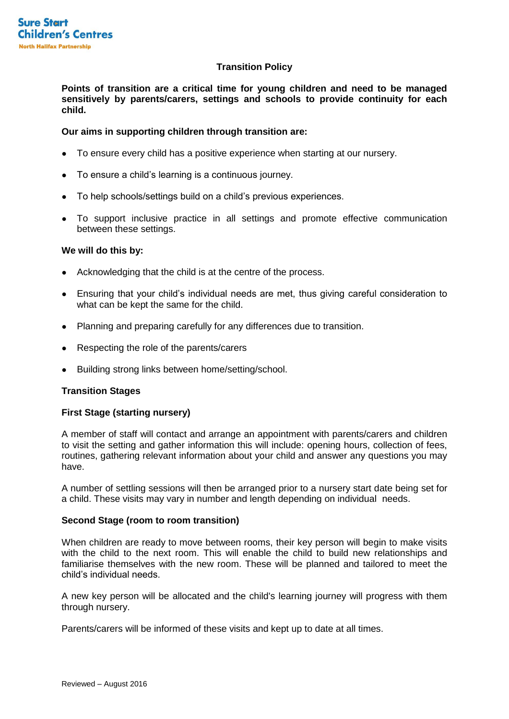# **Transition Policy**

**Points of transition are a critical time for young children and need to be managed sensitively by parents/carers, settings and schools to provide continuity for each child.**

# **Our aims in supporting children through transition are:**

- To ensure every child has a positive experience when starting at our nursery.
- To ensure a child's learning is a continuous journey.
- To help schools/settings build on a child's previous experiences.
- To support inclusive practice in all settings and promote effective communication between these settings.

### **We will do this by:**

- Acknowledging that the child is at the centre of the process.
- Ensuring that your child's individual needs are met, thus giving careful consideration to what can be kept the same for the child.
- Planning and preparing carefully for any differences due to transition.
- Respecting the role of the parents/carers
- Building strong links between home/setting/school.

### **Transition Stages**

# **First Stage (starting nursery)**

A member of staff will contact and arrange an appointment with parents/carers and children to visit the setting and gather information this will include: opening hours, collection of fees, routines, gathering relevant information about your child and answer any questions you may have.

A number of settling sessions will then be arranged prior to a nursery start date being set for a child. These visits may vary in number and length depending on individual needs.

### **Second Stage (room to room transition)**

When children are ready to move between rooms, their key person will begin to make visits with the child to the next room. This will enable the child to build new relationships and familiarise themselves with the new room. These will be planned and tailored to meet the child's individual needs.

A new key person will be allocated and the child's learning journey will progress with them through nursery.

Parents/carers will be informed of these visits and kept up to date at all times.